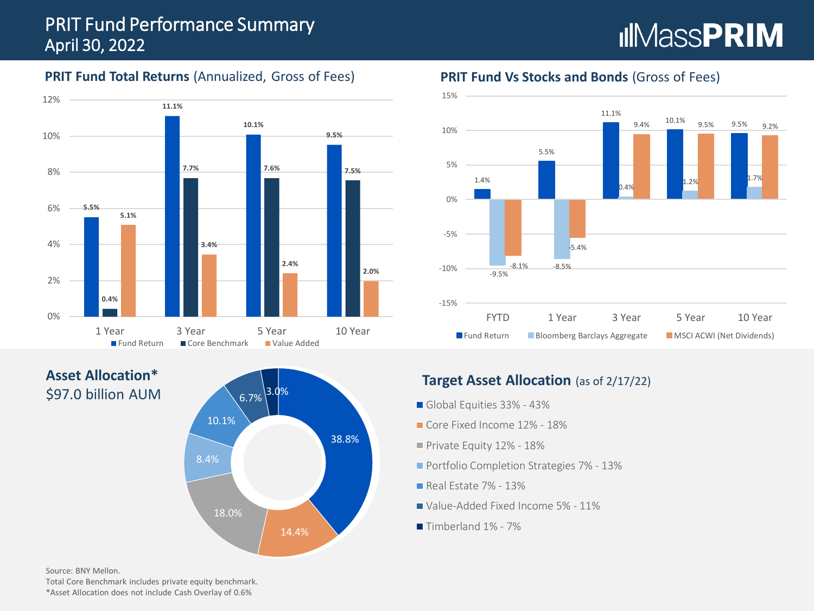# PRIT Fund Performance Summary April 30, 2022

# **IIMassPRIM**

## **PRIT Fund Total Returns** (Annualized, Gross of Fees)



**Asset Allocation\*** \$97.0 billion AUM



#### **PRIT Fund Vs Stocks and Bonds** (Gross of Fees)



#### **Target Asset Allocation** (as of 2/17/22)

- Global Equities 33% 43%
- Core Fixed Income 12% 18%
- Private Equity 12% 18%
- **Portfolio Completion Strategies 7% 13%**
- **Real Estate 7% 13%**
- Value-Added Fixed Income 5% 11%
- Timberland 1% 7%

Source: BNY Mellon.

Total Core Benchmark includes private equity benchmark. \*Asset Allocation does not include Cash Overlay of 0.6%